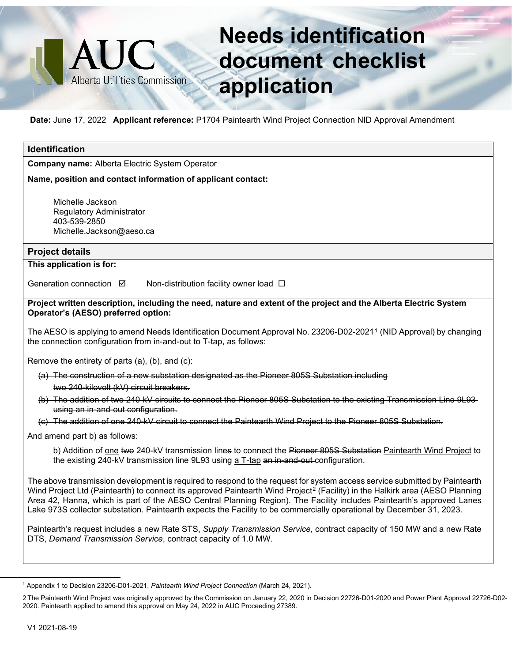## **Needs identification document checklist application**

**Date:** June 17, 2022 **Applicant reference:** P1704 Paintearth Wind Project Connection NID Approval Amendment

**HAUC** 

Alberta Utilities Commission

## **Identification Company name:** Alberta Electric System Operator **Name, position and contact information of applicant contact:** Michelle Jackson Regulatory Administrator 403-539-2850 Michelle.Jackson@aeso.ca **Project details This application is for:** Generation connection  $\boxtimes$  Non-distribution facility owner load  $\Box$ Project written description, including the need, nature and extent of the project and the Alberta Electric System **Operator's (AESO) preferred option:** The AESO is applying to amend Needs Identification Document Approval No. 23206-D02-2021[1](#page-0-0) (NID Approval) by changing the connection configuration from in-and-out to T-tap, as follows: Remove the entirety of parts (a), (b), and (c): (a) The construction of a new substation designated as the Pioneer 805S Substation including two 240-kilovolt (kV) circuit breakers. (b) The addition of two 240-kV circuits to connect the Pioneer 805S Substation to the existing Transmission Line 9L93 using an in-and-out configuration. (c) The addition of one 240-kV circuit to connect the Paintearth Wind Project to the Pioneer 805S Substation. And amend part b) as follows: b) Addition of one two 240-kV transmission lines to connect the Pioneer 805S Substation Paintearth Wind Project to the existing 240-kV transmission line 9L93 using a T-tap an in-and-out-configuration. The above transmission development is required to respond to the request for system access service submitted by Paintearth Wind Project Ltd (Paintearth) to connect its approved Paintearth Wind Project<sup>[2](#page-0-1)</sup> (Facility) in the Halkirk area (AESO Planning Area 42, Hanna, which is part of the AESO Central Planning Region). The Facility includes Paintearth's approved Lanes Lake 973S collector substation. Paintearth expects the Facility to be commercially operational by December 31, 2023. Paintearth's request includes a new Rate STS, *Supply Transmission Service*, contract capacity of 150 MW and a new Rate DTS, *Demand Transmission Service*, contract capacity of 1.0 MW.

<span id="page-0-0"></span><sup>1</sup> Appendix 1 to Decision 23206-D01-2021, *Paintearth Wind Project Connection* (March 24, 2021).

<span id="page-0-1"></span><sup>2</sup> The Paintearth Wind Project was originally approved by the Commission on January 22, 2020 in Decision 22726-D01-2020 and Power Plant Approval 22726-D02- 2020. Paintearth applied to amend this approval on May 24, 2022 in AUC Proceeding 27389.